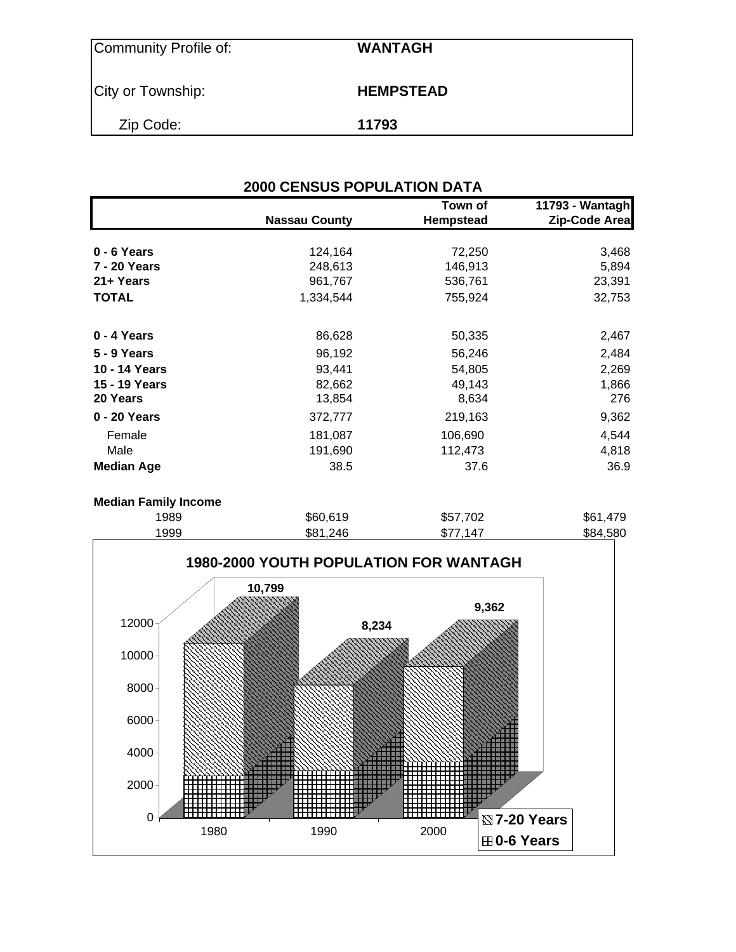| Community Profile of: | <b>WANTAGH</b>   |
|-----------------------|------------------|
| City or Township:     | <b>HEMPSTEAD</b> |
| Zip Code:             | 11793            |

|                   |                      | Town of   | 11793 - Wantagh |
|-------------------|----------------------|-----------|-----------------|
|                   | <b>Nassau County</b> | Hempstead | Zip-Code Area   |
|                   |                      |           |                 |
| 0 - 6 Years       | 124,164              | 72,250    | 3,468           |
| 7 - 20 Years      | 248,613              | 146,913   | 5,894           |
| 21+ Years         | 961,767              | 536,761   | 23,391          |
| <b>TOTAL</b>      | 1,334,544            | 755,924   | 32,753          |
| 0 - 4 Years       | 86,628               | 50,335    | 2,467           |
| 5 - 9 Years       | 96,192               | 56,246    | 2,484           |
| 10 - 14 Years     | 93,441               | 54,805    | 2,269           |
| 15 - 19 Years     | 82,662               | 49,143    | 1,866           |
| 20 Years          | 13,854               | 8,634     | 276             |
| 0 - 20 Years      | 372,777              | 219,163   | 9,362           |
| Female            | 181,087              | 106,690   | 4,544           |
| Male              | 191,690              | 112,473   | 4,818           |
| <b>Median Age</b> | 38.5                 | 37.6      | 36.9            |

| 1989 | \$60,619 | \$57,702 | \$61,479 |
|------|----------|----------|----------|
| 1999 | \$81,246 | \$77,147 | \$84,580 |

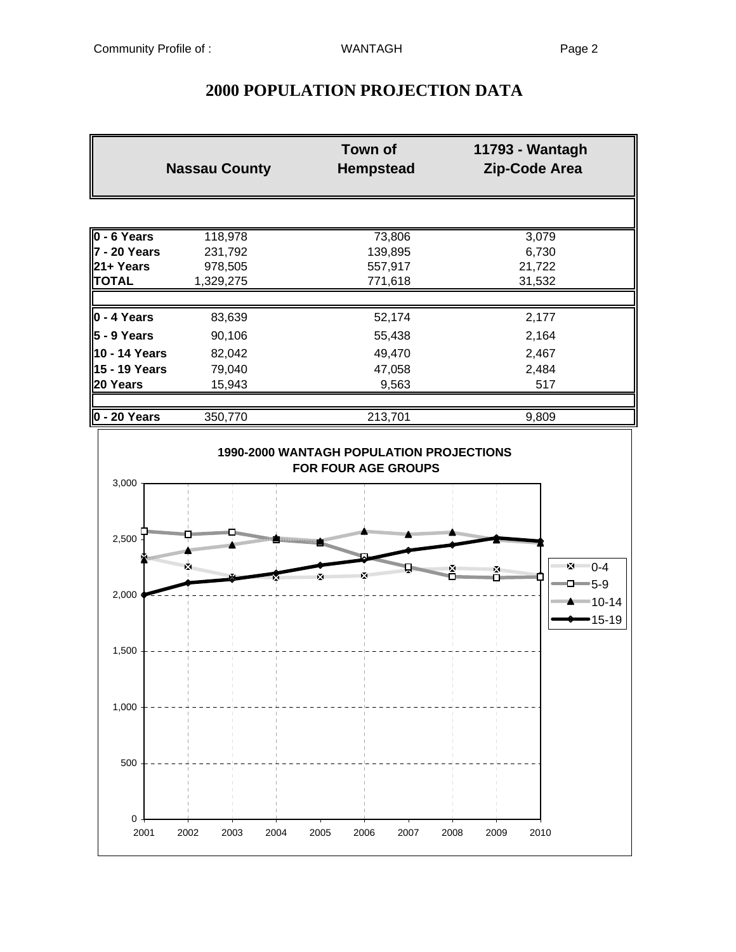# **2000 POPULATION PROJECTION DATA**

|                      | <b>Nassau County</b> | <b>Town of</b><br><b>Hempstead</b> | 11793 - Wantagh<br><b>Zip-Code Area</b> |
|----------------------|----------------------|------------------------------------|-----------------------------------------|
|                      |                      |                                    |                                         |
| $0 - 6$ Years        | 118,978              | 73,806                             | 3,079                                   |
| 7 - 20 Years         | 231,792              | 139,895                            | 6,730                                   |
| l21+ Years           | 978,505              | 557,917                            | 21,722                                  |
| <b>TOTAL</b>         | 1,329,275            | 771,618                            | 31,532                                  |
| $\vert$ 0 - 4 Years  | 83,639               | 52,174                             | 2,177                                   |
| $5 - 9$ Years        | 90,106               | 55,438                             | 2,164                                   |
| 10 - 14 Years        | 82,042               | 49,470                             | 2,467                                   |
| 15 - 19 Years        | 79,040               | 47,058                             | 2,484                                   |
| 20 Years             | 15,943               | 9,563                              | 517                                     |
|                      |                      |                                    |                                         |
| $\vert$ 0 - 20 Years | 350,770              | 213,701                            | 9,809                                   |

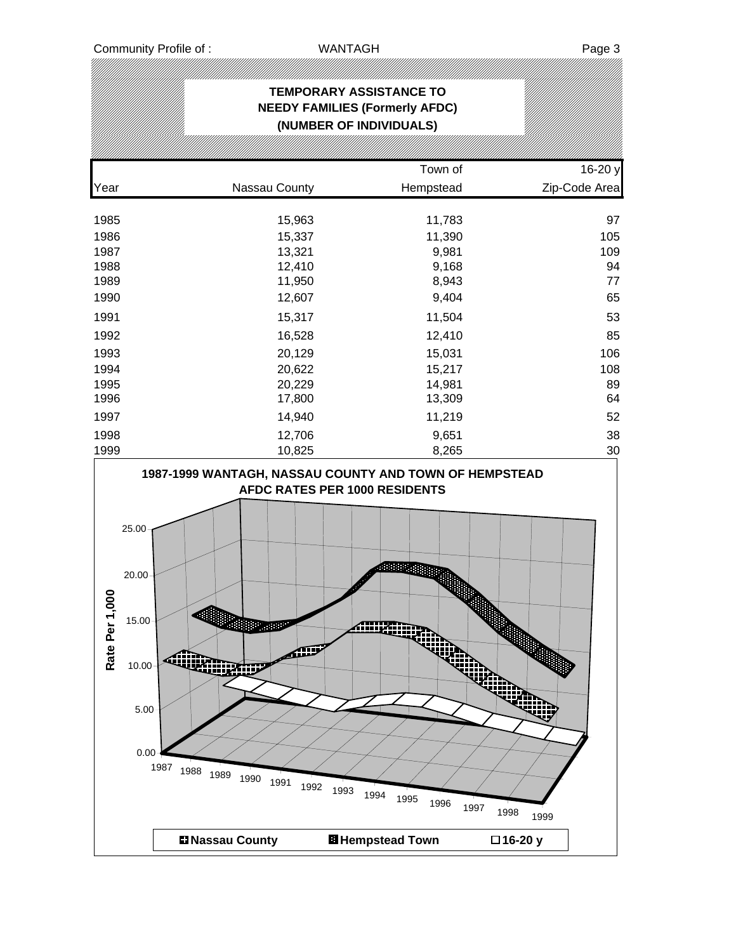|      |                                                                                         | Town of   | 16-20 y       |
|------|-----------------------------------------------------------------------------------------|-----------|---------------|
| Year | Nassau County                                                                           | Hempstead | Zip-Code Area |
| 1985 | 15,963                                                                                  | 11,783    | 97            |
| 1986 | 15,337                                                                                  | 11,390    | 105           |
| 1987 | 13,321                                                                                  | 9,981     | 109           |
| 1988 | 12,410                                                                                  | 9,168     | 94            |
| 1989 | 11,950                                                                                  | 8,943     | 77            |
| 1990 | 12,607                                                                                  | 9,404     | 65            |
| 1991 | 15,317                                                                                  | 11,504    | 53            |
| 1992 | 16,528                                                                                  | 12,410    | 85            |
| 1993 | 20,129                                                                                  | 15,031    | 106           |
| 1994 | 20,622                                                                                  | 15,217    | 108           |
| 1995 | 20,229                                                                                  | 14,981    | 89            |
| 1996 | 17,800                                                                                  | 13,309    | 64            |
| 1997 | 14,940                                                                                  | 11,219    | 52            |
| 1998 | 12,706                                                                                  | 9,651     | 38            |
| 1999 | 10,825                                                                                  | 8,265     | 30            |
|      | 1987-1999 WANTAGH, NASSAU COUNTY AND TOWN OF HEMPSTEAD<br>AEDC RATES DER 1000 RESIDENTS |           |               |

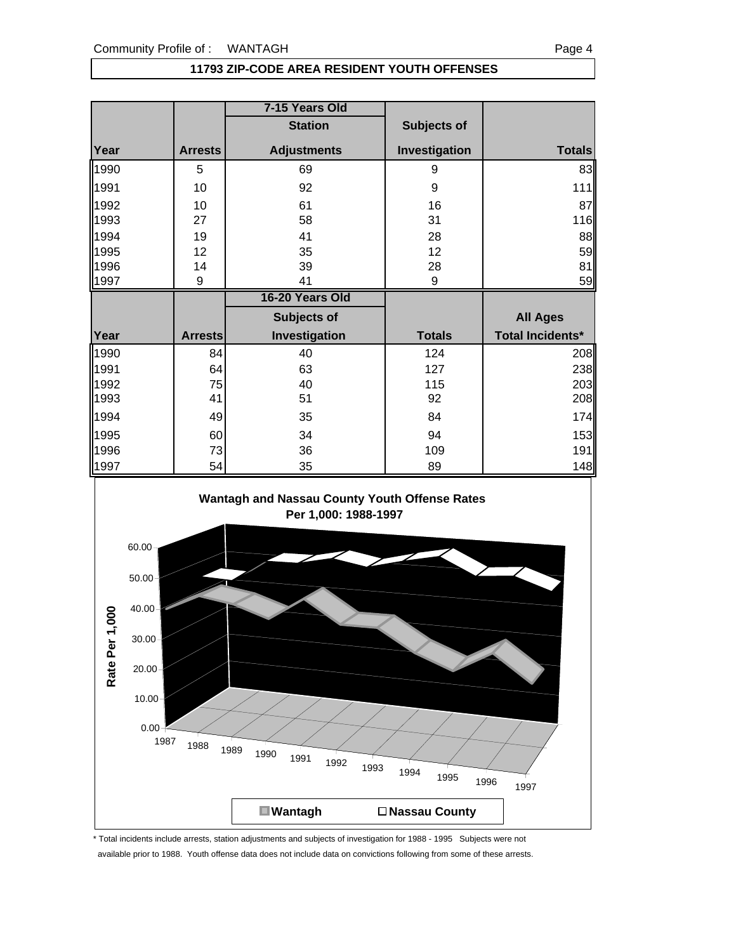#### **11793 ZIP-CODE AREA RESIDENT YOUTH OFFENSES**

|      |                | 7-15 Years Old     |               |                  |
|------|----------------|--------------------|---------------|------------------|
|      |                | <b>Station</b>     | Subjects of   |                  |
| Year | <b>Arrests</b> | <b>Adjustments</b> | Investigation | <b>Totals</b>    |
| 1990 | 5              | 69                 | 9             | 83               |
| 1991 | 10             | 92                 | 9             | 111              |
| 1992 | 10             | 61                 | 16            | 87               |
| 1993 | 27             | 58                 | 31            | 116              |
| 1994 | 19             | 41                 | 28            | 88               |
| 1995 | 12             | 35                 | 12            | 59               |
| 1996 | 14             | 39                 | 28            | 81               |
| 1997 | 9              | 41                 | 9             | 59               |
|      |                |                    |               |                  |
|      |                | 16-20 Years Old    |               |                  |
|      |                | Subjects of        |               | <b>All Ages</b>  |
| Year | <b>Arrests</b> | Investigation      | <b>Totals</b> | Total Incidents* |
| 1990 | 84             | 40                 | 124           | 208              |
| 1991 | 64             | 63                 | 127           | 238              |
| 1992 | 75             | 40                 | 115           | 203              |
| 1993 | 41             | 51                 | 92            | 208              |
| 1994 | 49             | 35                 | 84            | 174              |
| 1995 | 60             | 34                 | 94            | 153              |
| 1996 | 73             | 36                 | 109           | 191              |





\* Total incidents include arrests, station adjustments and subjects of investigation for 1988 - 1995 Subjects were not available prior to 1988. Youth offense data does not include data on convictions following from some of these arrests.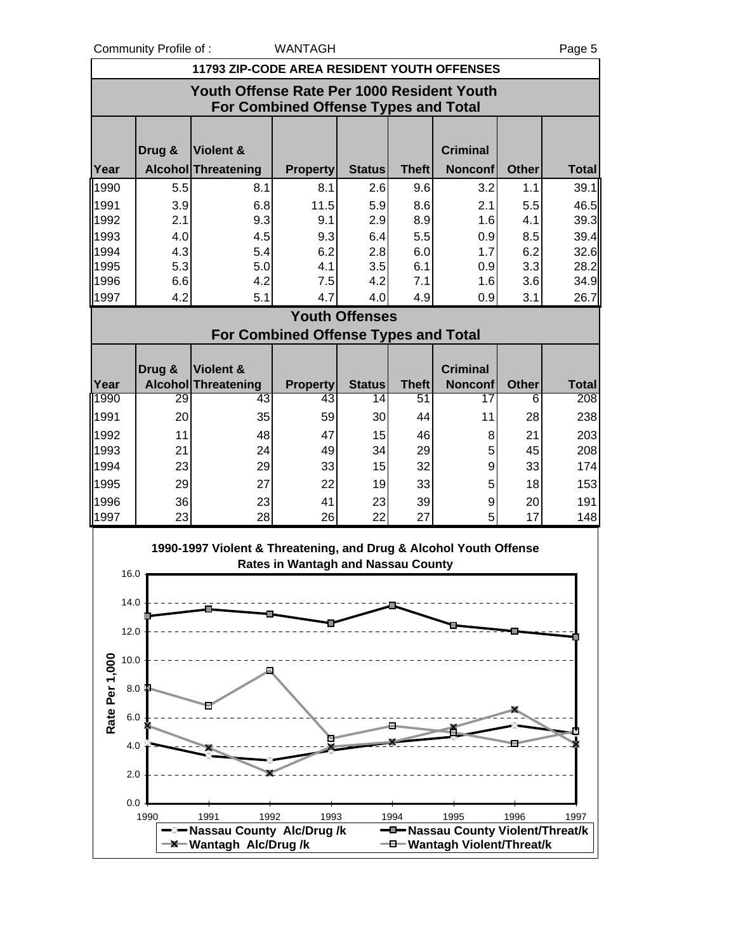Community Profile of : WANTAGH Page 5

|                       | 11793 ZIP-CODE AREA RESIDENT YOUTH OFFENSES                                               |                                                                   |                                             |                       |              |                                           |              |              |  |
|-----------------------|-------------------------------------------------------------------------------------------|-------------------------------------------------------------------|---------------------------------------------|-----------------------|--------------|-------------------------------------------|--------------|--------------|--|
|                       | Youth Offense Rate Per 1000 Resident Youth<br><b>For Combined Offense Types and Total</b> |                                                                   |                                             |                       |              |                                           |              |              |  |
|                       |                                                                                           |                                                                   |                                             |                       |              |                                           |              |              |  |
|                       | Drug &                                                                                    | Violent &                                                         |                                             |                       |              | <b>Criminal</b>                           |              |              |  |
| Year                  |                                                                                           | Alcohol Threatening                                               | <b>Property</b>                             | <b>Status</b>         | <b>Theft</b> | <b>Nonconf</b>                            | <b>Other</b> | <b>Total</b> |  |
| 1990                  | 5.5                                                                                       | 8.1                                                               | 8.1                                         | 2.6                   | 9.6          | 3.2                                       | 1.1          | 39.1         |  |
| 1991                  | 3.9                                                                                       | 6.8                                                               | 11.5                                        | 5.9                   | 8.6          | 2.1                                       | 5.5          | 46.5         |  |
| 1992<br>1993          | 2.1<br>4.0                                                                                | 9.3<br>4.5                                                        | 9.1<br>9.3                                  | 2.9<br>6.4            | 8.9<br>5.5   | 1.6<br>0.9                                | 4.1<br>8.5   | 39.3<br>39.4 |  |
| 1994                  | 4.3                                                                                       | 5.4                                                               | 6.2                                         | 2.8                   | 6.0          | 1.7                                       | 6.2          | 32.6         |  |
| 1995                  | 5.3                                                                                       | 5.0                                                               | 4.1                                         | 3.5                   | 6.1          | 0.9                                       | 3.3          | 28.2         |  |
| 1996                  | 6.6                                                                                       | 4.2                                                               | 7.5                                         | 4.2                   | 7.1          | 1.6                                       | 3.6          | 34.9         |  |
| 1997                  | 4.2                                                                                       | 5.1                                                               | 4.7                                         | 4.0                   | 4.9          | 0.9                                       | 3.1          | 26.7         |  |
|                       |                                                                                           |                                                                   |                                             | <b>Youth Offenses</b> |              |                                           |              |              |  |
|                       |                                                                                           |                                                                   | <b>For Combined Offense Types and Total</b> |                       |              |                                           |              |              |  |
|                       | Drug &                                                                                    | Violent &                                                         |                                             |                       |              | <b>Criminal</b>                           |              |              |  |
| Year                  |                                                                                           | <b>Alcohol Threatening</b>                                        | <b>Property</b>                             | <b>Status</b>         | <b>Theft</b> | <b>Nonconf</b>                            | <b>Other</b> | <b>Total</b> |  |
| 1990                  | 29                                                                                        | 43                                                                | 43                                          | 14                    | 51           | 17                                        | 6            | 208          |  |
| 1991                  | 20                                                                                        | 35                                                                | 59                                          | 30                    | 44           | 11                                        | 28           | 238          |  |
| 1992                  | 11                                                                                        | 48                                                                | 47                                          | 15                    | 46           | 8                                         | 21           | 203          |  |
| 1993                  | 21                                                                                        | 24                                                                | 49                                          | 34                    | 29           | 5                                         | 45           | 208          |  |
| 1994                  | 23                                                                                        | 29                                                                | 33                                          | 15                    | 32           | 9                                         | 33           | 174          |  |
| 1995                  | 29                                                                                        | 27                                                                | 22                                          | 19                    | 33           | 5                                         | 18           | 153          |  |
| 1996                  | 36<br>23                                                                                  | 23<br>28                                                          | 41<br>26                                    | 23                    | 39<br>27     | 9<br>5                                    | 20<br>17     | 191          |  |
| 1997                  |                                                                                           |                                                                   |                                             | 22                    |              |                                           |              | 148          |  |
|                       |                                                                                           | 1990-1997 Violent & Threatening, and Drug & Alcohol Youth Offense | <b>Rates in Wantagh and Nassau County</b>   |                       |              |                                           |              |              |  |
| 16.0                  |                                                                                           |                                                                   |                                             |                       |              |                                           |              |              |  |
| 14.0                  |                                                                                           |                                                                   |                                             |                       |              |                                           |              |              |  |
|                       |                                                                                           |                                                                   |                                             |                       |              |                                           |              |              |  |
| 12.0                  |                                                                                           |                                                                   |                                             |                       |              |                                           |              |              |  |
| 10.0                  |                                                                                           |                                                                   |                                             |                       |              |                                           |              |              |  |
|                       | 8.0                                                                                       |                                                                   |                                             |                       |              |                                           |              |              |  |
|                       |                                                                                           |                                                                   |                                             |                       |              |                                           |              |              |  |
| Rate Per 1,000<br>6.0 |                                                                                           |                                                                   |                                             |                       |              |                                           |              |              |  |
| 4.0                   |                                                                                           |                                                                   |                                             |                       |              |                                           |              |              |  |
|                       |                                                                                           |                                                                   |                                             |                       |              |                                           |              |              |  |
| 2.0                   |                                                                                           |                                                                   |                                             |                       |              |                                           |              |              |  |
| 0.0                   |                                                                                           |                                                                   |                                             |                       |              |                                           |              |              |  |
|                       | 1990                                                                                      | 1991<br>1992                                                      | 1993                                        |                       | 1994         | 1995<br>-D-Nassau County Violent/Threat/k | 1996         | 1997         |  |
|                       |                                                                                           | –⊠– Nassau County Alc/Drug /k<br>-X-Wantagh Alc/Drug/k            |                                             |                       |              | -0-Wantagh Violent/Threat/k               |              |              |  |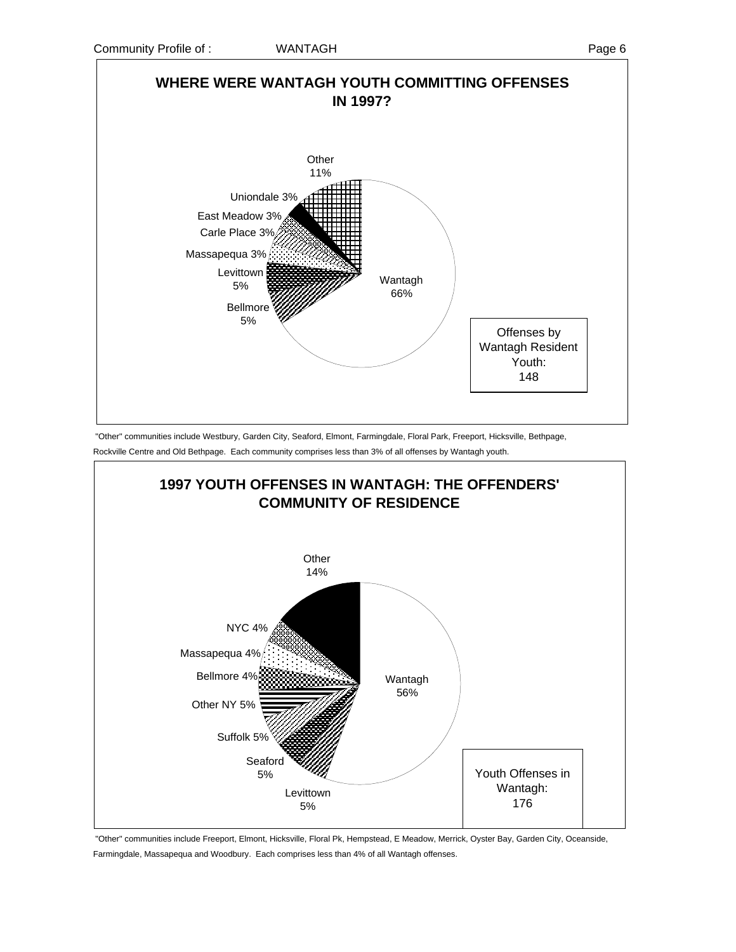

 "Other" communities include Westbury, Garden City, Seaford, Elmont, Farmingdale, Floral Park, Freeport, Hicksville, Bethpage, Rockville Centre and Old Bethpage. Each community comprises less than 3% of all offenses by Wantagh youth.



 "Other" communities include Freeport, Elmont, Hicksville, Floral Pk, Hempstead, E Meadow, Merrick, Oyster Bay, Garden City, Oceanside, Farmingdale, Massapequa and Woodbury. Each comprises less than 4% of all Wantagh offenses.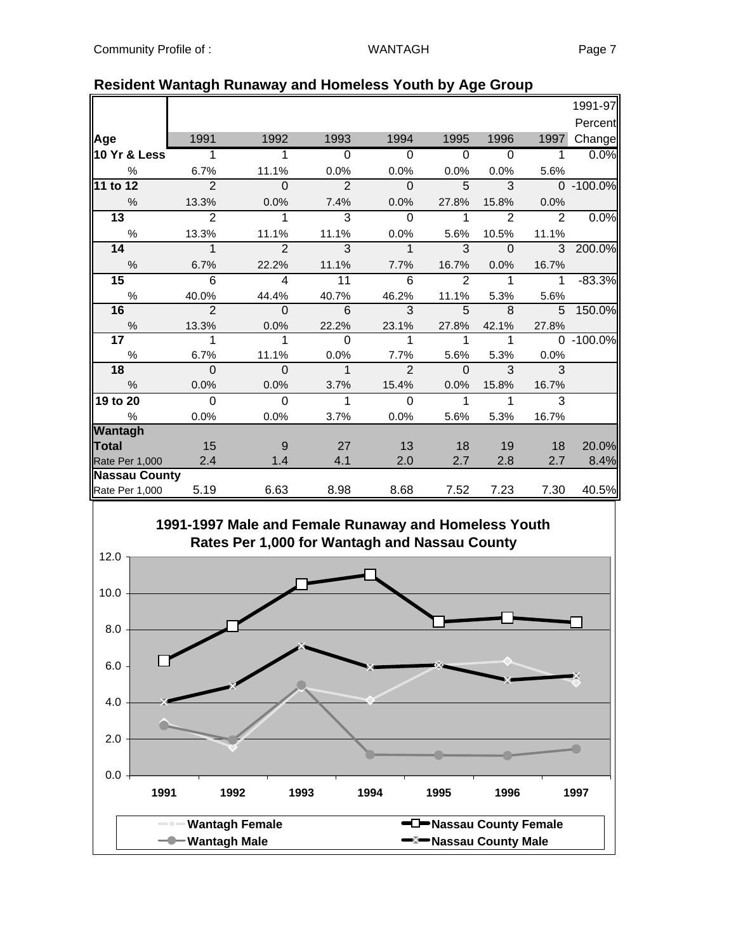|                      |                |                         |                |                |          |                |              | 1991-97   |
|----------------------|----------------|-------------------------|----------------|----------------|----------|----------------|--------------|-----------|
|                      |                |                         |                |                |          |                |              | Percent   |
| Age                  | 1991           | 1992                    | 1993           | 1994           | 1995     | 1996           | 1997         | Change    |
| 10 Yr & Less         | 1              |                         | $\Omega$       | $\Omega$       | $\Omega$ | $\Omega$       | 1            | 0.0%      |
| $\frac{0}{0}$        | 6.7%           | 11.1%                   | 0.0%           | 0.0%           | 0.0%     | 0.0%           | 5.6%         |           |
| 11 to 12             | $\mathfrak{p}$ | $\Omega$                | $\overline{2}$ | $\Omega$       | 5        | 3              |              | 0 -100.0% |
| $\frac{0}{0}$        | 13.3%          | 0.0%                    | 7.4%           | 0.0%           | 27.8%    | 15.8%          | 0.0%         |           |
| $\overline{13}$      | 2              | 1                       | 3              | $\Omega$       | 1        | $\overline{2}$ | 2            | 0.0%      |
| $\%$                 | 13.3%          | 11.1%                   | 11.1%          | 0.0%           | 5.6%     | 10.5%          | 11.1%        |           |
| 14                   | $\mathbf 1$    | $\overline{2}$          | 3              | $\mathbf 1$    | 3        | $\Omega$       | 3            | 200.0%    |
| $\frac{0}{0}$        | 6.7%           | 22.2%                   | 11.1%          | 7.7%           | 16.7%    | 0.0%           | 16.7%        |           |
| 15                   | 6              | $\overline{\mathbf{A}}$ | 11             | 6              | 2        | 1              | $\mathbf{1}$ | $-83.3%$  |
| $\%$                 | 40.0%          | 44.4%                   | 40.7%          | 46.2%          | 11.1%    | 5.3%           | 5.6%         |           |
| 16                   | $\mathfrak{p}$ | $\Omega$                | 6              | 3              | 5        | 8              | 5            | 150.0%    |
| $\%$                 | 13.3%          | 0.0%                    | 22.2%          | 23.1%          | 27.8%    | 42.1%          | 27.8%        |           |
| 17                   | 1              | 1                       | $\Omega$       |                | 1        | 1              | $\Omega$     | $-100.0%$ |
| $\%$                 | 6.7%           | 11.1%                   | 0.0%           | 7.7%           | 5.6%     | 5.3%           | 0.0%         |           |
| 18                   | $\Omega$       | $\Omega$                | $\mathbf{1}$   | $\overline{2}$ | $\Omega$ | 3              | 3            |           |
| $\frac{0}{0}$        | 0.0%           | 0.0%                    | 3.7%           | 15.4%          | 0.0%     | 15.8%          | 16.7%        |           |
| 19 to 20             | $\Omega$       | $\Omega$                | 1              | $\Omega$       | 1        | 1              | 3            |           |
| $\%$                 | 0.0%           | 0.0%                    | 3.7%           | 0.0%           | 5.6%     | 5.3%           | 16.7%        |           |
| Wantagh              |                |                         |                |                |          |                |              |           |
| Total                | 15             | 9                       | 27             | 13             | 18       | 19             | 18           | 20.0%     |
| Rate Per 1,000       | 2.4            | 1.4                     | 4.1            | 2.0            | 2.7      | 2.8            | 2.7          | 8.4%      |
| <b>Nassau County</b> |                |                         |                |                |          |                |              |           |
| Rate Per 1,000       | 5.19           | 6.63                    | 8.98           | 8.68           | 7.52     | 7.23           | 7.30         | 40.5%     |

## **Resident Wantagh Runaway and Homeless Youth by Age Group**

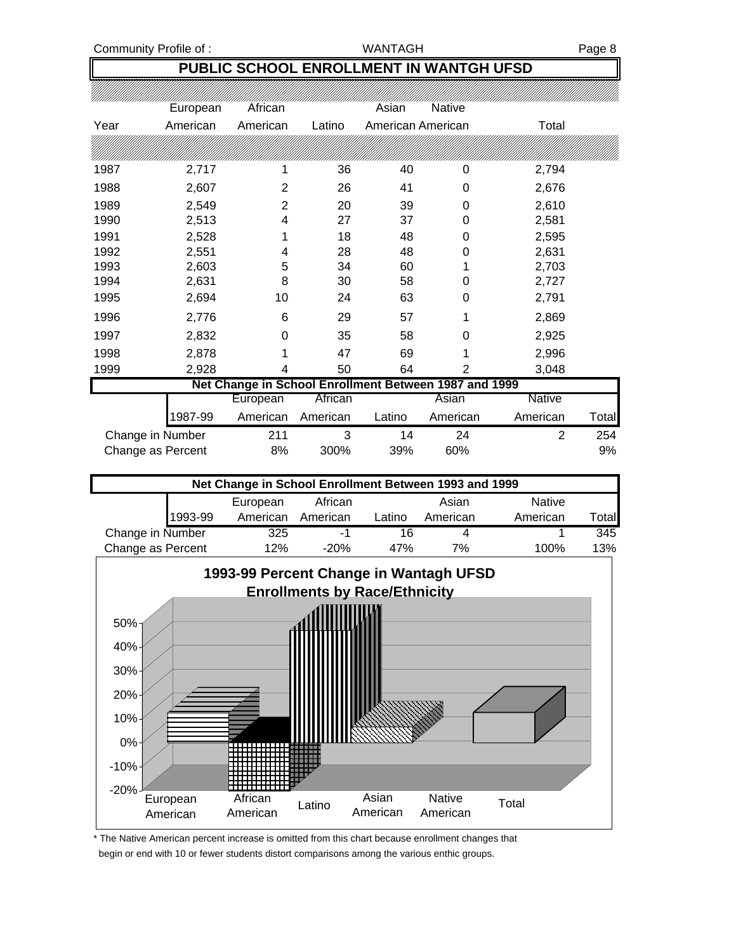### **PUBLIC SCHOOL ENROLLMENT IN WANTGH UFSD**

|                   | European | African                                               |          | Asian  | <b>Native</b>     |               |       |
|-------------------|----------|-------------------------------------------------------|----------|--------|-------------------|---------------|-------|
| Year              | American | American                                              | Latino   |        | American American | Total         |       |
|                   |          |                                                       |          |        |                   |               |       |
|                   |          |                                                       |          |        |                   |               |       |
| 1987              | 2,717    | 1                                                     | 36       | 40     | 0                 | 2,794         |       |
| 1988              | 2,607    | 2                                                     | 26       | 41     | 0                 | 2,676         |       |
| 1989              | 2,549    | 2                                                     | 20       | 39     | 0                 | 2,610         |       |
| 1990              | 2,513    | 4                                                     | 27       | 37     | 0                 | 2,581         |       |
| 1991              | 2,528    |                                                       | 18       | 48     | 0                 | 2,595         |       |
| 1992              | 2,551    | 4                                                     | 28       | 48     | 0                 | 2,631         |       |
| 1993              | 2,603    | 5                                                     | 34       | 60     |                   | 2,703         |       |
| 1994              | 2,631    | 8                                                     | 30       | 58     | 0                 | 2,727         |       |
| 1995              | 2,694    | 10                                                    | 24       | 63     | 0                 | 2,791         |       |
| 1996              | 2,776    | 6                                                     | 29       | 57     | 1                 | 2,869         |       |
| 1997              | 2,832    | 0                                                     | 35       | 58     | 0                 | 2,925         |       |
| 1998              | 2,878    |                                                       | 47       | 69     | 1                 | 2,996         |       |
| 1999              | 2,928    | 4                                                     | 50       | 64     | $\overline{2}$    | 3,048         |       |
|                   |          | Net Change in School Enrollment Between 1987 and 1999 |          |        |                   |               |       |
|                   |          | European                                              | African  |        | Asian             | <b>Native</b> |       |
|                   | 1987-99  | American                                              | American | Latino | American          | American      | Total |
| Change in Number  |          | 211                                                   | 3        | 14     | 24                | 2             | 254   |
| Change as Percent |          | 8%                                                    | 300%     | 39%    | 60%               |               | 9%    |





\* The Native American percent increase is omitted from this chart because enrollment changes that begin or end with 10 or fewer students distort comparisons among the various enthic groups.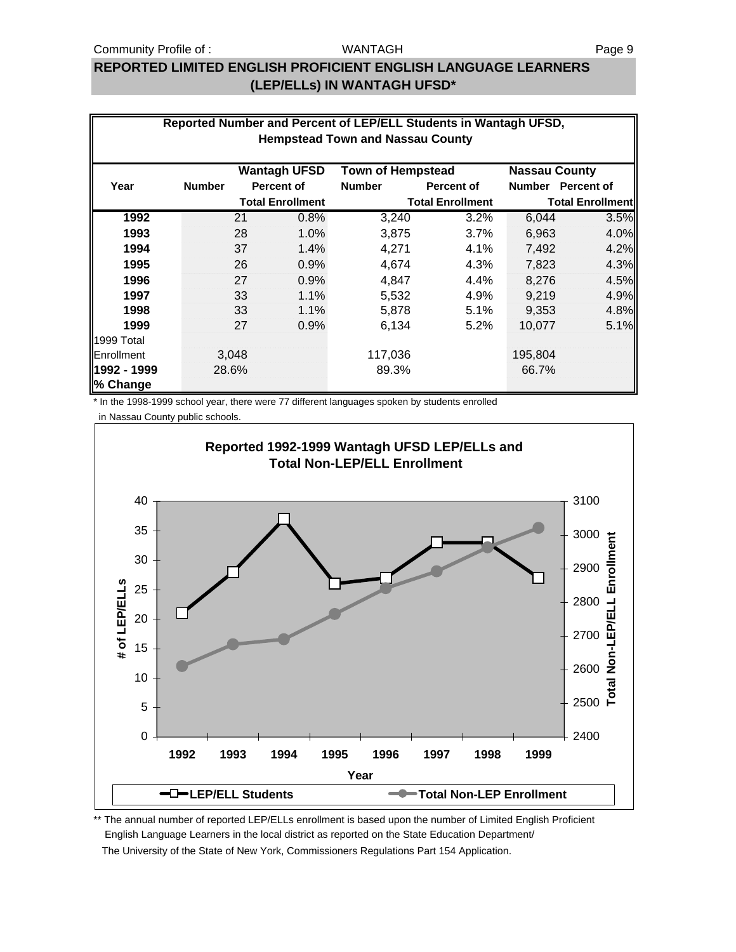#### WANTAGH

# **REPORTED LIMITED ENGLISH PROFICIENT ENGLISH LANGUAGE LEARNERS (LEP/ELLs) IN WANTAGH UFSD\***

| Reported Number and Percent of LEP/ELL Students in Wantagh UFSD,<br><b>Hempstead Town and Nassau County</b> |               |       |                         |                          |                         |                      |                         |
|-------------------------------------------------------------------------------------------------------------|---------------|-------|-------------------------|--------------------------|-------------------------|----------------------|-------------------------|
|                                                                                                             |               |       | <b>Wantagh UFSD</b>     | <b>Town of Hempstead</b> |                         | <b>Nassau County</b> |                         |
| Year                                                                                                        | <b>Number</b> |       | <b>Percent of</b>       | <b>Number</b>            | <b>Percent of</b>       |                      | Number Percent of       |
|                                                                                                             |               |       | <b>Total Enrollment</b> |                          | <b>Total Enrollment</b> |                      | <b>Total Enrollment</b> |
| 1992                                                                                                        |               | 21    | 0.8%                    | 3,240                    | 3.2%                    | 6,044                | 3.5%                    |
| 1993                                                                                                        |               | 28    | 1.0%                    | 3,875                    | 3.7%                    | 6,963                | 4.0%                    |
| 1994                                                                                                        |               | 37    | 1.4%                    | 4,271                    | 4.1%                    | 7,492                | 4.2%                    |
| 1995                                                                                                        |               | 26    | 0.9%                    | 4,674                    | 4.3%                    | 7,823                | 4.3%                    |
| 1996                                                                                                        |               | 27    | 0.9%                    | 4,847                    | 4.4%                    | 8,276                | 4.5%                    |
| 1997                                                                                                        |               | 33    | 1.1%                    | 5,532                    | 4.9%                    | 9,219                | 4.9%                    |
| 1998                                                                                                        |               | 33    | 1.1%                    | 5,878                    | 5.1%                    | 9,353                | 4.8%                    |
| 1999                                                                                                        |               | 27    | 0.9%                    | 6,134                    | 5.2%                    | 10,077               | 5.1%                    |
| 1999 Total                                                                                                  |               |       |                         |                          |                         |                      |                         |
| Enrollment                                                                                                  |               | 3,048 |                         | 117,036                  |                         | 195,804              |                         |
| 1992 - 1999                                                                                                 |               | 28.6% |                         | 89.3%                    |                         | 66.7%                |                         |
| % Change                                                                                                    |               |       |                         |                          |                         |                      |                         |

\* In the 1998-1999 school year, there were 77 different languages spoken by students enrolled

in Nassau County public schools.



\*\* The annual number of reported LEP/ELLs enrollment is based upon the number of Limited English Proficient English Language Learners in the local district as reported on the State Education Department/ The University of the State of New York, Commissioners Regulations Part 154 Application.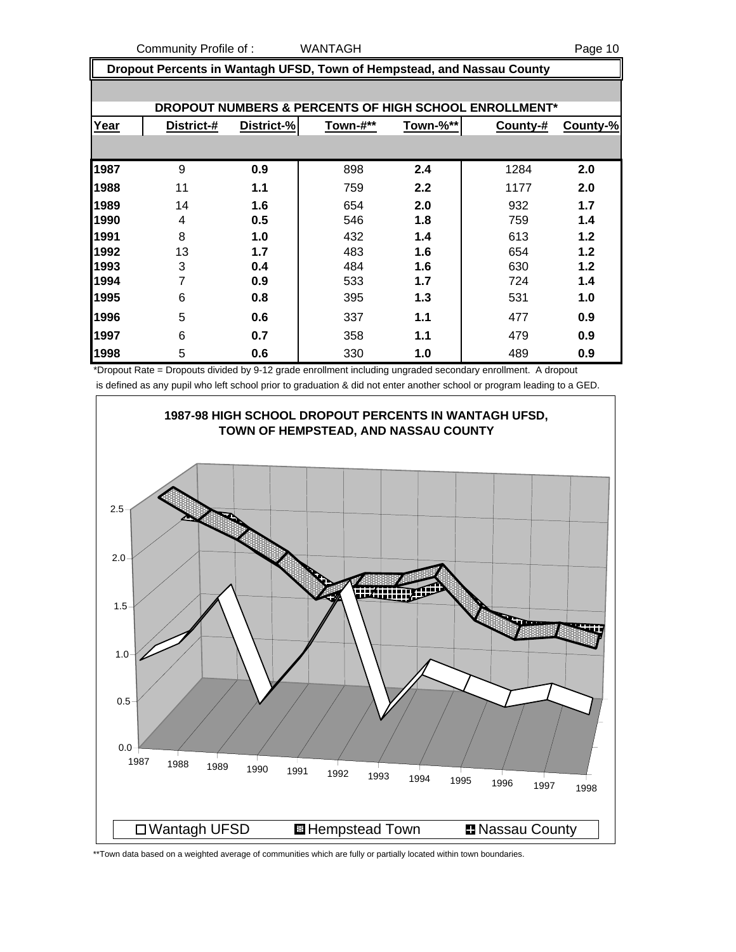Community Profile of : WANTAGH Page 10

 **Dropout Percents in Wantagh UFSD, Town of Hempstead, and Nassau County**

|      |            |            |          |          | DROPOUT NUMBERS & PERCENTS OF HIGH SCHOOL ENROLLMENT* |          |
|------|------------|------------|----------|----------|-------------------------------------------------------|----------|
| Year | District-# | District-% | Town-#** | Town-%** | County-#                                              | County-% |
|      |            |            |          |          |                                                       |          |
| 1987 | 9          | 0.9        | 898      | 2.4      | 1284                                                  | 2.0      |
| 1988 | 11         | 1.1        | 759      | 2.2      | 1177                                                  | 2.0      |
| 1989 | 14         | 1.6        | 654      | 2.0      | 932                                                   | 1.7      |
| 1990 | 4          | 0.5        | 546      | 1.8      | 759                                                   | 1.4      |
| 1991 | 8          | 1.0        | 432      | 1.4      | 613                                                   | 1.2      |
| 1992 | 13         | 1.7        | 483      | 1.6      | 654                                                   | 1.2      |
| 1993 | 3          | 0.4        | 484      | 1.6      | 630                                                   | 1.2      |
| 1994 | 7          | 0.9        | 533      | 1.7      | 724                                                   | 1.4      |
| 1995 | 6          | 0.8        | 395      | 1.3      | 531                                                   | 1.0      |
| 1996 | 5          | 0.6        | 337      | 1.1      | 477                                                   | 0.9      |
| 1997 | 6          | 0.7        | 358      | 1.1      | 479                                                   | 0.9      |
| 1998 | 5          | 0.6        | 330      | 1.0      | 489                                                   | 0.9      |

\*Dropout Rate = Dropouts divided by 9-12 grade enrollment including ungraded secondary enrollment. A dropout is defined as any pupil who left school prior to graduation & did not enter another school or program leading to a GED.



\*\*Town data based on a weighted average of communities which are fully or partially located within town boundaries.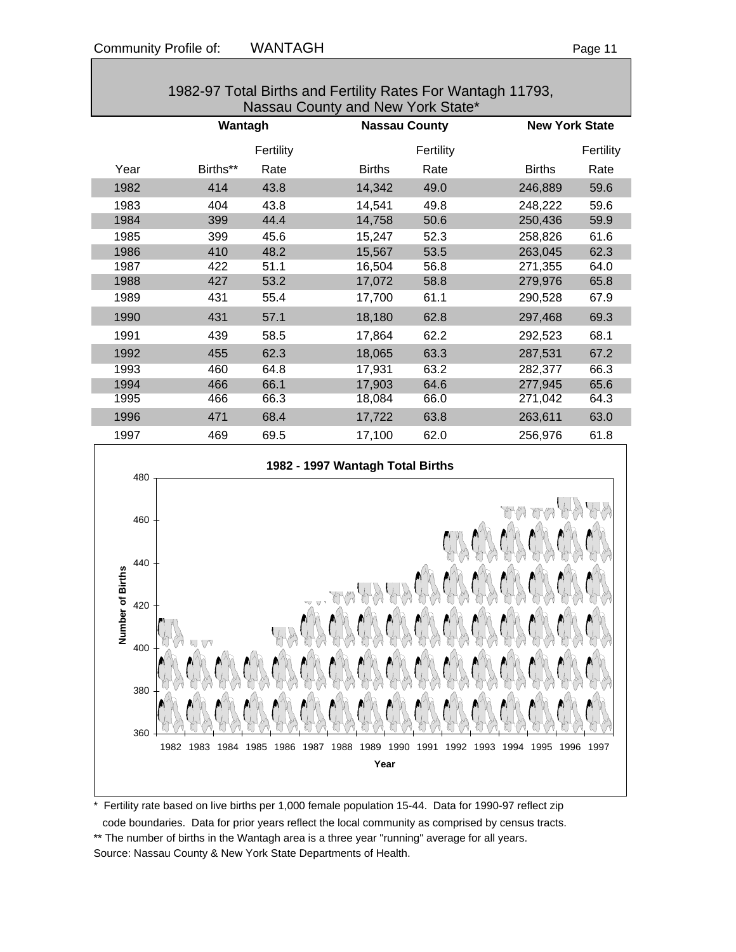| 1982-97 Total Births and Fertility Rates For Wantagh 11793,<br>Nassau County and New York State* |          |           |                      |           |                       |           |
|--------------------------------------------------------------------------------------------------|----------|-----------|----------------------|-----------|-----------------------|-----------|
|                                                                                                  | Wantagh  |           | <b>Nassau County</b> |           | <b>New York State</b> |           |
|                                                                                                  |          | Fertility |                      | Fertility |                       | Fertility |
| Year                                                                                             | Births** | Rate      | <b>Births</b>        | Rate      | <b>Births</b>         | Rate      |
| 1982                                                                                             | 414      | 43.8      | 14,342               | 49.0      | 246,889               | 59.6      |
| 1983                                                                                             | 404      | 43.8      | 14,541               | 49.8      | 248,222               | 59.6      |
| 1984                                                                                             | 399      | 44.4      | 14,758               | 50.6      | 250,436               | 59.9      |
| 1985                                                                                             | 399      | 45.6      | 15,247               | 52.3      | 258,826               | 61.6      |
| 1986                                                                                             | 410      | 48.2      | 15,567               | 53.5      | 263,045               | 62.3      |
| 1987                                                                                             | 422      | 51.1      | 16,504               | 56.8      | 271,355               | 64.0      |
| 1988                                                                                             | 427      | 53.2      | 17,072               | 58.8      | 279,976               | 65.8      |
| 1989                                                                                             | 431      | 55.4      | 17,700               | 61.1      | 290,528               | 67.9      |
| 1990                                                                                             | 431      | 57.1      | 18,180               | 62.8      | 297,468               | 69.3      |
| 1991                                                                                             | 439      | 58.5      | 17,864               | 62.2      | 292,523               | 68.1      |
| 1992                                                                                             | 455      | 62.3      | 18,065               | 63.3      | 287,531               | 67.2      |
| 1993                                                                                             | 460      | 64.8      | 17,931               | 63.2      | 282,377               | 66.3      |
| 1994                                                                                             | 466      | 66.1      | 17,903               | 64.6      | 277,945               | 65.6      |
| 1995                                                                                             | 466      | 66.3      | 18,084               | 66.0      | 271,042               | 64.3      |
| 1996                                                                                             | 471      | 68.4      | 17,722               | 63.8      | 263,611               | 63.0      |
| 1997                                                                                             | 469      | 69.5      | 17,100               | 62.0      | 256,976               | 61.8      |
|                                                                                                  |          |           |                      |           |                       |           |



\* Fertility rate based on live births per 1,000 female population 15-44. Data for 1990-97 reflect zip

code boundaries. Data for prior years reflect the local community as comprised by census tracts.

\*\* The number of births in the Wantagh area is a three year "running" average for all years. Source: Nassau County & New York State Departments of Health.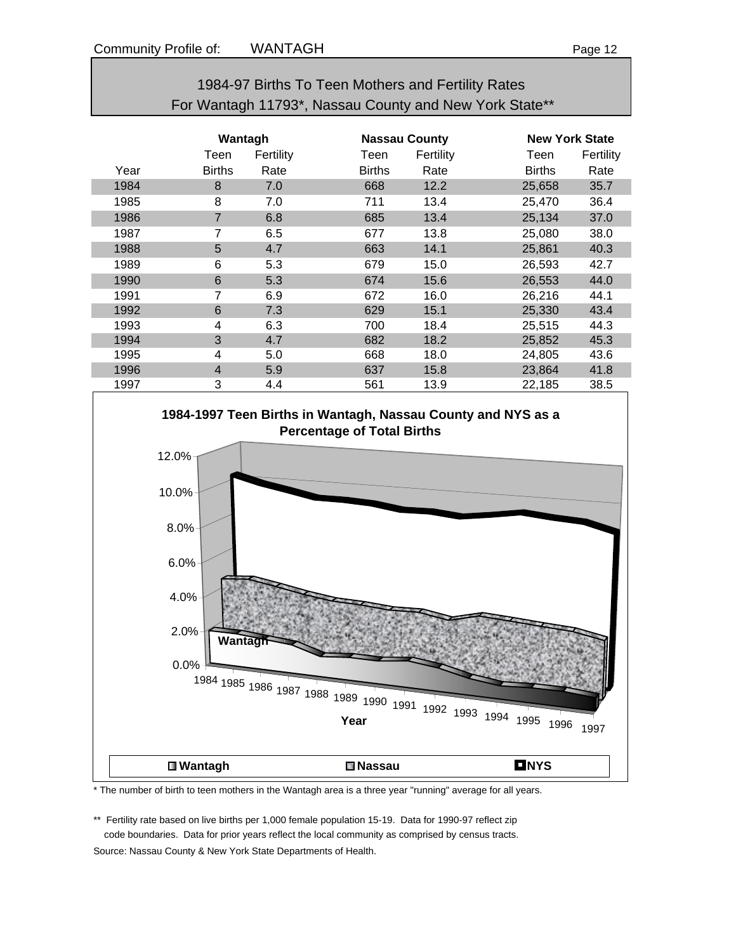# 1984-97 Births To Teen Mothers and Fertility Rates For Wantagh 11793\*, Nassau County and New York State\*\*

|      | Wantagh        |           |               | <b>Nassau County</b> |               | <b>New York State</b> |  |
|------|----------------|-----------|---------------|----------------------|---------------|-----------------------|--|
|      | Teen           | Fertility | Teen          | Fertility            | Teen          | Fertility             |  |
| Year | <b>Births</b>  | Rate      | <b>Births</b> | Rate                 | <b>Births</b> | Rate                  |  |
| 1984 | 8              | 7.0       | 668           | 12.2                 | 25,658        | 35.7                  |  |
| 1985 | 8              | 7.0       | 711           | 13.4                 | 25,470        | 36.4                  |  |
| 1986 | $\overline{7}$ | 6.8       | 685           | 13.4                 | 25,134        | 37.0                  |  |
| 1987 | 7              | 6.5       | 677           | 13.8                 | 25,080        | 38.0                  |  |
| 1988 | 5              | 4.7       | 663           | 14.1                 | 25,861        | 40.3                  |  |
| 1989 | 6              | 5.3       | 679           | 15.0                 | 26,593        | 42.7                  |  |
| 1990 | 6              | 5.3       | 674           | 15.6                 | 26,553        | 44.0                  |  |
| 1991 | 7              | 6.9       | 672           | 16.0                 | 26,216        | 44.1                  |  |
| 1992 | 6              | 7.3       | 629           | 15.1                 | 25,330        | 43.4                  |  |
| 1993 | 4              | 6.3       | 700           | 18.4                 | 25,515        | 44.3                  |  |
| 1994 | 3              | 4.7       | 682           | 18.2                 | 25,852        | 45.3                  |  |
| 1995 | 4              | 5.0       | 668           | 18.0                 | 24,805        | 43.6                  |  |
| 1996 | $\overline{4}$ | 5.9       | 637           | 15.8                 | 23,864        | 41.8                  |  |
| 1997 | 3              | 4.4       | 561           | 13.9                 | 22,185        | 38.5                  |  |



\* The number of birth to teen mothers in the Wantagh area is a three year "running" average for all years.

\*\* Fertility rate based on live births per 1,000 female population 15-19. Data for 1990-97 reflect zip code boundaries. Data for prior years reflect the local community as comprised by census tracts. Source: Nassau County & New York State Departments of Health.